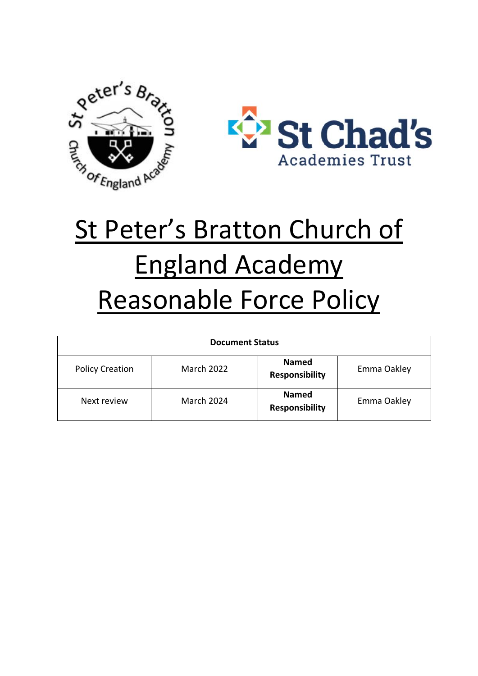



# St Peter's Bratton Church of England Academy Reasonable Force Policy

| <b>Document Status</b> |                   |                                       |             |
|------------------------|-------------------|---------------------------------------|-------------|
| <b>Policy Creation</b> | <b>March 2022</b> | <b>Named</b><br><b>Responsibility</b> | Emma Oakley |
| Next review            | <b>March 2024</b> | <b>Named</b><br><b>Responsibility</b> | Emma Oakley |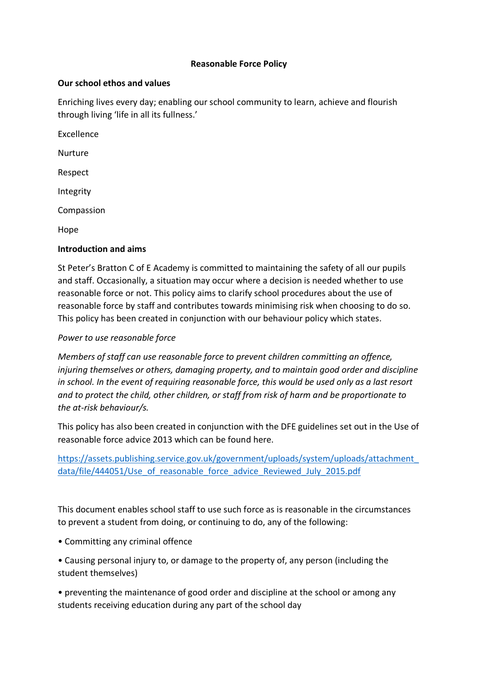# **Reasonable Force Policy**

## **Our school ethos and values**

Enriching lives every day; enabling our school community to learn, achieve and flourish through living 'life in all its fullness.'

Excellence Nurture Respect Integrity Compassion

Hope

# **Introduction and aims**

St Peter's Bratton C of E Academy is committed to maintaining the safety of all our pupils and staff. Occasionally, a situation may occur where a decision is needed whether to use reasonable force or not. This policy aims to clarify school procedures about the use of reasonable force by staff and contributes towards minimising risk when choosing to do so. This policy has been created in conjunction with our behaviour policy which states.

## *Power to use reasonable force*

*Members of staff can use reasonable force to prevent children committing an offence, injuring themselves or others, damaging property, and to maintain good order and discipline in school. In the event of requiring reasonable force, this would be used only as a last resort and to protect the child, other children, or staff from risk of harm and be proportionate to the at-risk behaviour/s.* 

This policy has also been created in conjunction with the DFE guidelines set out in the Use of reasonable force advice 2013 which can be found here.

[https://assets.publishing.service.gov.uk/government/uploads/system/uploads/attachment\\_](https://assets.publishing.service.gov.uk/government/uploads/system/uploads/attachment_data/file/444051/Use_of_reasonable_force_advice_Reviewed_July_2015.pdf) [data/file/444051/Use\\_of\\_reasonable\\_force\\_advice\\_Reviewed\\_July\\_2015.pdf](https://assets.publishing.service.gov.uk/government/uploads/system/uploads/attachment_data/file/444051/Use_of_reasonable_force_advice_Reviewed_July_2015.pdf)

This document enables school staff to use such force as is reasonable in the circumstances to prevent a student from doing, or continuing to do, any of the following:

- Committing any criminal offence
- Causing personal injury to, or damage to the property of, any person (including the student themselves)

• preventing the maintenance of good order and discipline at the school or among any students receiving education during any part of the school day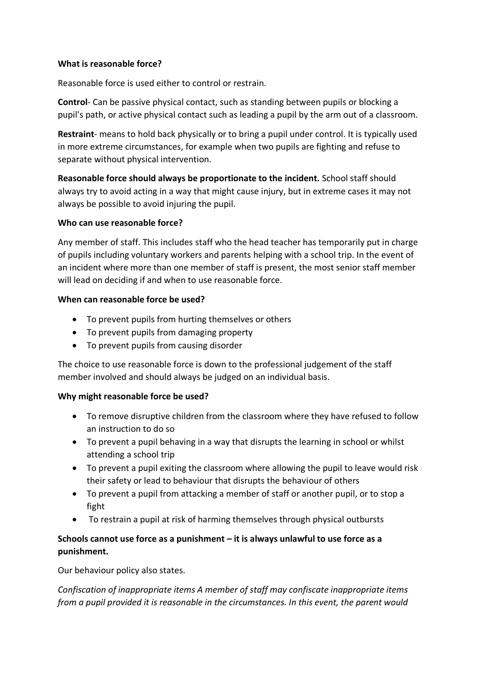## **What is reasonable force?**

Reasonable force is used either to control or restrain.

**Control**- Can be passive physical contact, such as standing between pupils or blocking a pupil's path, or active physical contact such as leading a pupil by the arm out of a classroom.

**Restraint**- means to hold back physically or to bring a pupil under control. It is typically used in more extreme circumstances, for example when two pupils are fighting and refuse to separate without physical intervention.

**Reasonable force should always be proportionate to the incident.** School staff should always try to avoid acting in a way that might cause injury, but in extreme cases it may not always be possible to avoid injuring the pupil.

## **Who can use reasonable force?**

Any member of staff. This includes staff who the head teacher has temporarily put in charge of pupils including voluntary workers and parents helping with a school trip. In the event of an incident where more than one member of staff is present, the most senior staff member will lead on deciding if and when to use reasonable force.

## **When can reasonable force be used?**

- To prevent pupils from hurting themselves or others
- To prevent pupils from damaging property
- To prevent pupils from causing disorder

The choice to use reasonable force is down to the professional judgement of the staff member involved and should always be judged on an individual basis.

# **Why might reasonable force be used?**

- To remove disruptive children from the classroom where they have refused to follow an instruction to do so
- To prevent a pupil behaving in a way that disrupts the learning in school or whilst attending a school trip
- To prevent a pupil exiting the classroom where allowing the pupil to leave would risk their safety or lead to behaviour that disrupts the behaviour of others
- To prevent a pupil from attacking a member of staff or another pupil, or to stop a fight
- To restrain a pupil at risk of harming themselves through physical outbursts

# **Schools cannot use force as a punishment – it is always unlawful to use force as a punishment.**

Our behaviour policy also states.

*Confiscation of inappropriate items A member of staff may confiscate inappropriate items from a pupil provided it is reasonable in the circumstances. In this event, the parent would*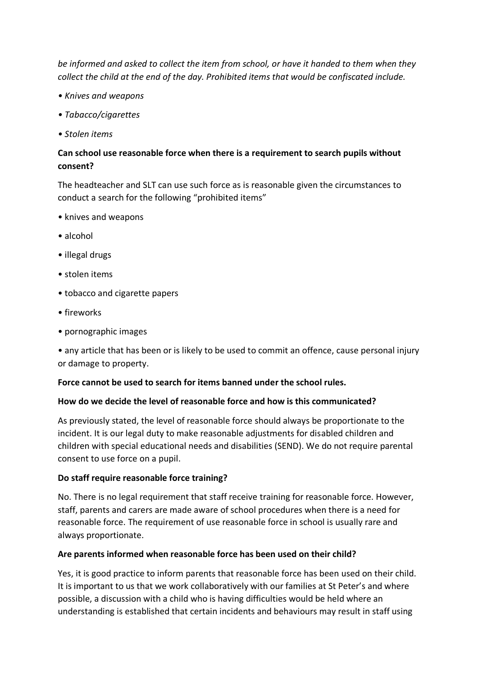*be informed and asked to collect the item from school, or have it handed to them when they collect the child at the end of the day. Prohibited items that would be confiscated include.* 

- *Knives and weapons*
- *Tabacco/cigarettes*
- *Stolen items*

# **Can school use reasonable force when there is a requirement to search pupils without consent?**

The headteacher and SLT can use such force as is reasonable given the circumstances to conduct a search for the following "prohibited items"

- knives and weapons
- alcohol
- illegal drugs
- stolen items
- tobacco and cigarette papers
- fireworks
- pornographic images

• any article that has been or is likely to be used to commit an offence, cause personal injury or damage to property.

## **Force cannot be used to search for items banned under the school rules.**

## **How do we decide the level of reasonable force and how is this communicated?**

As previously stated, the level of reasonable force should always be proportionate to the incident. It is our legal duty to make reasonable adjustments for disabled children and children with special educational needs and disabilities (SEND). We do not require parental consent to use force on a pupil.

# **Do staff require reasonable force training?**

No. There is no legal requirement that staff receive training for reasonable force. However, staff, parents and carers are made aware of school procedures when there is a need for reasonable force. The requirement of use reasonable force in school is usually rare and always proportionate.

## **Are parents informed when reasonable force has been used on their child?**

Yes, it is good practice to inform parents that reasonable force has been used on their child. It is important to us that we work collaboratively with our families at St Peter's and where possible, a discussion with a child who is having difficulties would be held where an understanding is established that certain incidents and behaviours may result in staff using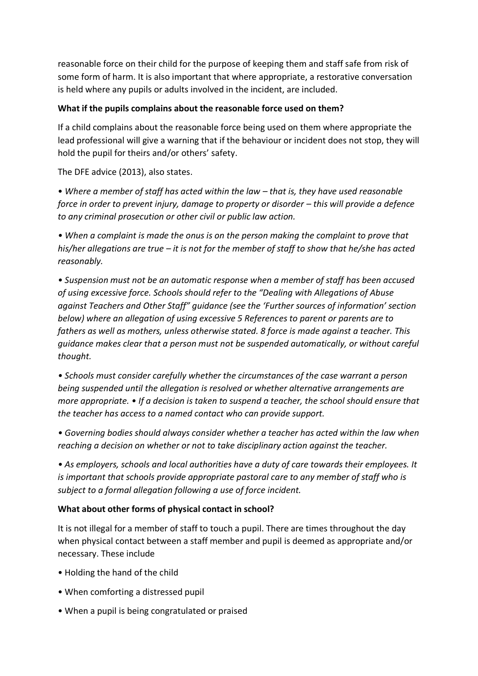reasonable force on their child for the purpose of keeping them and staff safe from risk of some form of harm. It is also important that where appropriate, a restorative conversation is held where any pupils or adults involved in the incident, are included.

# **What if the pupils complains about the reasonable force used on them?**

If a child complains about the reasonable force being used on them where appropriate the lead professional will give a warning that if the behaviour or incident does not stop, they will hold the pupil for theirs and/or others' safety.

The DFE advice (2013), also states.

• Where a member of staff has acted within the law – that is, they have used reasonable *force in order to prevent injury, damage to property or disorder – this will provide a defence to any criminal prosecution or other civil or public law action.* 

*• When a complaint is made the onus is on the person making the complaint to prove that his/her allegations are true – it is not for the member of staff to show that he/she has acted reasonably.* 

*• Suspension must not be an automatic response when a member of staff has been accused of using excessive force. Schools should refer to the "Dealing with Allegations of Abuse against Teachers and Other Staff" guidance (see the 'Further sources of information' section below) where an allegation of using excessive 5 References to parent or parents are to fathers as well as mothers, unless otherwise stated. 8 force is made against a teacher. This guidance makes clear that a person must not be suspended automatically, or without careful thought.* 

*• Schools must consider carefully whether the circumstances of the case warrant a person being suspended until the allegation is resolved or whether alternative arrangements are more appropriate. • If a decision is taken to suspend a teacher, the school should ensure that the teacher has access to a named contact who can provide support.* 

*• Governing bodies should always consider whether a teacher has acted within the law when reaching a decision on whether or not to take disciplinary action against the teacher.* 

*• As employers, schools and local authorities have a duty of care towards their employees. It is important that schools provide appropriate pastoral care to any member of staff who is subject to a formal allegation following a use of force incident.*

## **What about other forms of physical contact in school?**

It is not illegal for a member of staff to touch a pupil. There are times throughout the day when physical contact between a staff member and pupil is deemed as appropriate and/or necessary. These include

- Holding the hand of the child
- When comforting a distressed pupil
- When a pupil is being congratulated or praised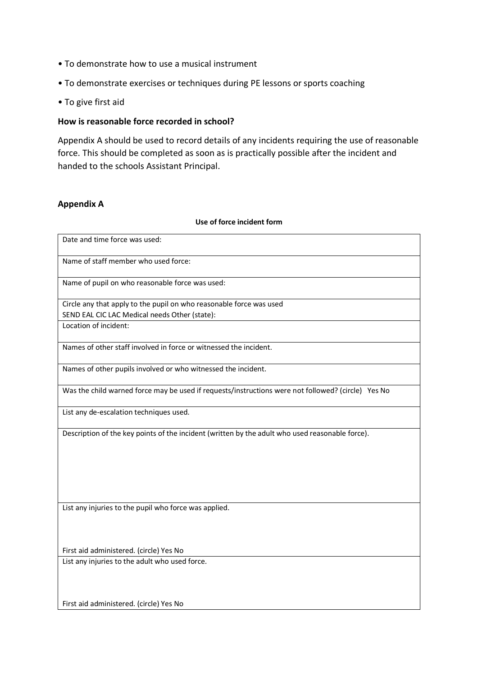- To demonstrate how to use a musical instrument
- To demonstrate exercises or techniques during PE lessons or sports coaching
- To give first aid

## **How is reasonable force recorded in school?**

Appendix A should be used to record details of any incidents requiring the use of reasonable force. This should be completed as soon as is practically possible after the incident and handed to the schools Assistant Principal.

#### **Appendix A**

#### **Use of force incident form**

| Date and time force was used:                                                                      |  |  |
|----------------------------------------------------------------------------------------------------|--|--|
| Name of staff member who used force:                                                               |  |  |
| Name of pupil on who reasonable force was used:                                                    |  |  |
| Circle any that apply to the pupil on who reasonable force was used                                |  |  |
| SEND EAL CIC LAC Medical needs Other (state):                                                      |  |  |
| Location of incident:                                                                              |  |  |
| Names of other staff involved in force or witnessed the incident.                                  |  |  |
| Names of other pupils involved or who witnessed the incident.                                      |  |  |
| Was the child warned force may be used if requests/instructions were not followed? (circle) Yes No |  |  |
| List any de-escalation techniques used.                                                            |  |  |
| Description of the key points of the incident (written by the adult who used reasonable force).    |  |  |
| List any injuries to the pupil who force was applied.                                              |  |  |
| First aid administered. (circle) Yes No                                                            |  |  |
| List any injuries to the adult who used force.                                                     |  |  |
| First aid administered. (circle) Yes No                                                            |  |  |